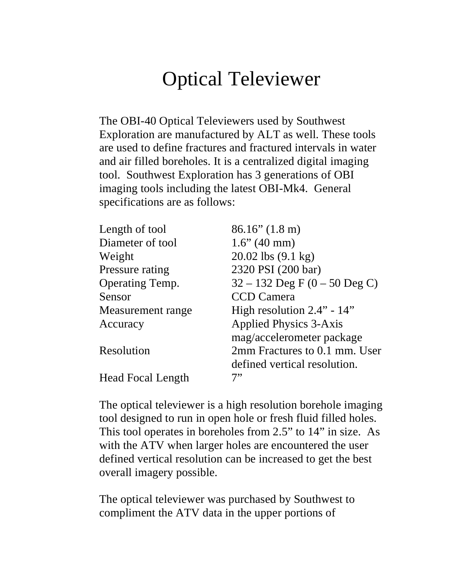## Optical Televiewer

The OBI-40 Optical Televiewers used by Southwest Exploration are manufactured by ALT as well. These tools are used to define fractures and fractured intervals in water and air filled boreholes. It is a centralized digital imaging tool. Southwest Exploration has 3 generations of OBI imaging tools including the latest OBI-Mk4. General specifications are as follows:

| Length of tool           | $86.16''$ (1.8 m)                 |
|--------------------------|-----------------------------------|
| Diameter of tool         | $1.6$ " (40 mm)                   |
| Weight                   | 20.02 lbs $(9.1 \text{ kg})$      |
| Pressure rating          | 2320 PSI (200 bar)                |
| Operating Temp.          | $32 - 132$ Deg F $(0 - 50$ Deg C) |
| Sensor                   | <b>CCD</b> Camera                 |
| Measurement range        | High resolution $2.4"$ - $14"$    |
| Accuracy                 | <b>Applied Physics 3-Axis</b>     |
|                          | mag/accelerometer package         |
| Resolution               | 2mm Fractures to 0.1 mm. User     |
|                          | defined vertical resolution.      |
| <b>Head Focal Length</b> | 7"                                |

The optical televiewer is a high resolution borehole imaging tool designed to run in open hole or fresh fluid filled holes. This tool operates in boreholes from 2.5" to 14" in size. As with the ATV when larger holes are encountered the user defined vertical resolution can be increased to get the best overall imagery possible.

The optical televiewer was purchased by Southwest to compliment the ATV data in the upper portions of